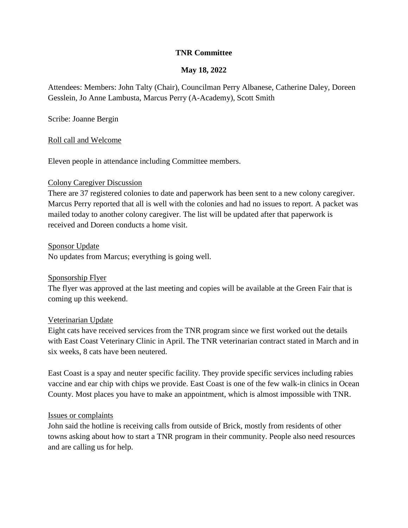## **TNR Committee**

## **May 18, 2022**

Attendees: Members: John Talty (Chair), Councilman Perry Albanese, Catherine Daley, Doreen Gesslein, Jo Anne Lambusta, Marcus Perry (A-Academy), Scott Smith

Scribe: Joanne Bergin

### Roll call and Welcome

Eleven people in attendance including Committee members.

### Colony Caregiver Discussion

There are 37 registered colonies to date and paperwork has been sent to a new colony caregiver. Marcus Perry reported that all is well with the colonies and had no issues to report. A packet was mailed today to another colony caregiver. The list will be updated after that paperwork is received and Doreen conducts a home visit.

Sponsor Update

No updates from Marcus; everything is going well.

### Sponsorship Flyer

The flyer was approved at the last meeting and copies will be available at the Green Fair that is coming up this weekend.

### Veterinarian Update

Eight cats have received services from the TNR program since we first worked out the details with East Coast Veterinary Clinic in April. The TNR veterinarian contract stated in March and in six weeks, 8 cats have been neutered.

East Coast is a spay and neuter specific facility. They provide specific services including rabies vaccine and ear chip with chips we provide. East Coast is one of the few walk-in clinics in Ocean County. Most places you have to make an appointment, which is almost impossible with TNR.

#### Issues or complaints

John said the hotline is receiving calls from outside of Brick, mostly from residents of other towns asking about how to start a TNR program in their community. People also need resources and are calling us for help.